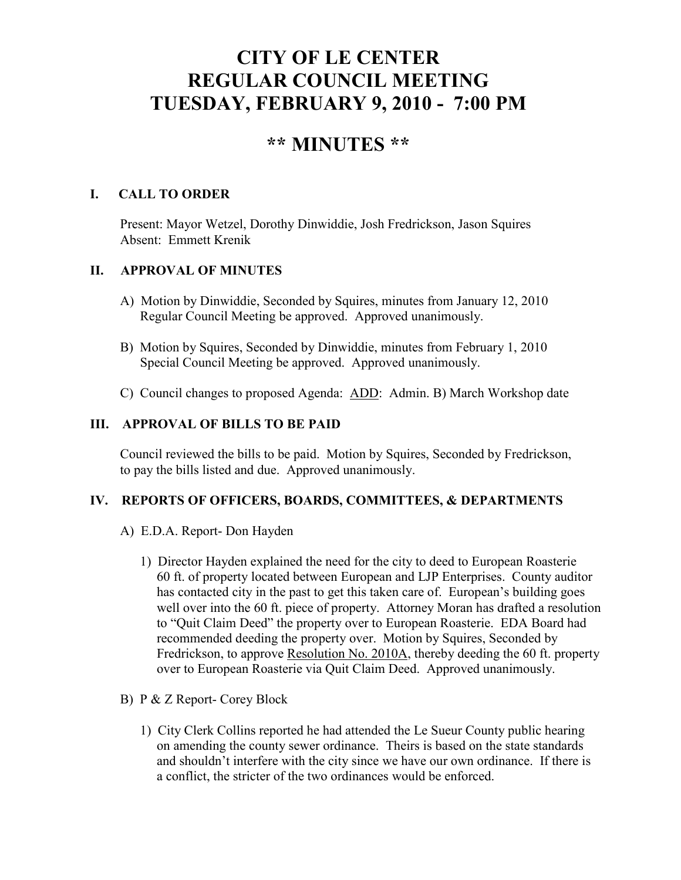# **CITY OF LE CENTER REGULAR COUNCIL MEETING TUESDAY, FEBRUARY 9, 2010 - 7:00 PM**

# **\*\* MINUTES \*\***

# **I. CALL TO ORDER**

Present: Mayor Wetzel, Dorothy Dinwiddie, Josh Fredrickson, Jason Squires Absent: Emmett Krenik

## **II. APPROVAL OF MINUTES**

- A) Motion by Dinwiddie, Seconded by Squires, minutes from January 12, 2010 Regular Council Meeting be approved. Approved unanimously.
- B) Motion by Squires, Seconded by Dinwiddie, minutes from February 1, 2010 Special Council Meeting be approved. Approved unanimously.
- C) Council changes to proposed Agenda: ADD: Admin. B) March Workshop date

### **III. APPROVAL OF BILLS TO BE PAID**

Council reviewed the bills to be paid. Motion by Squires, Seconded by Fredrickson, to pay the bills listed and due. Approved unanimously.

#### **IV. REPORTS OF OFFICERS, BOARDS, COMMITTEES, & DEPARTMENTS**

- A) E.D.A. Report- Don Hayden
	- 1) Director Hayden explained the need for the city to deed to European Roasterie 60 ft. of property located between European and LJP Enterprises. County auditor has contacted city in the past to get this taken care of. European's building goes well over into the 60 ft. piece of property. Attorney Moran has drafted a resolution to "Quit Claim Deed" the property over to European Roasterie. EDA Board had recommended deeding the property over. Motion by Squires, Seconded by Fredrickson, to approve Resolution No. 2010A, thereby deeding the 60 ft. property over to European Roasterie via Quit Claim Deed. Approved unanimously.
- B) P & Z Report- Corey Block
	- 1) City Clerk Collins reported he had attended the Le Sueur County public hearing on amending the county sewer ordinance. Theirs is based on the state standards and shouldn't interfere with the city since we have our own ordinance. If there is a conflict, the stricter of the two ordinances would be enforced.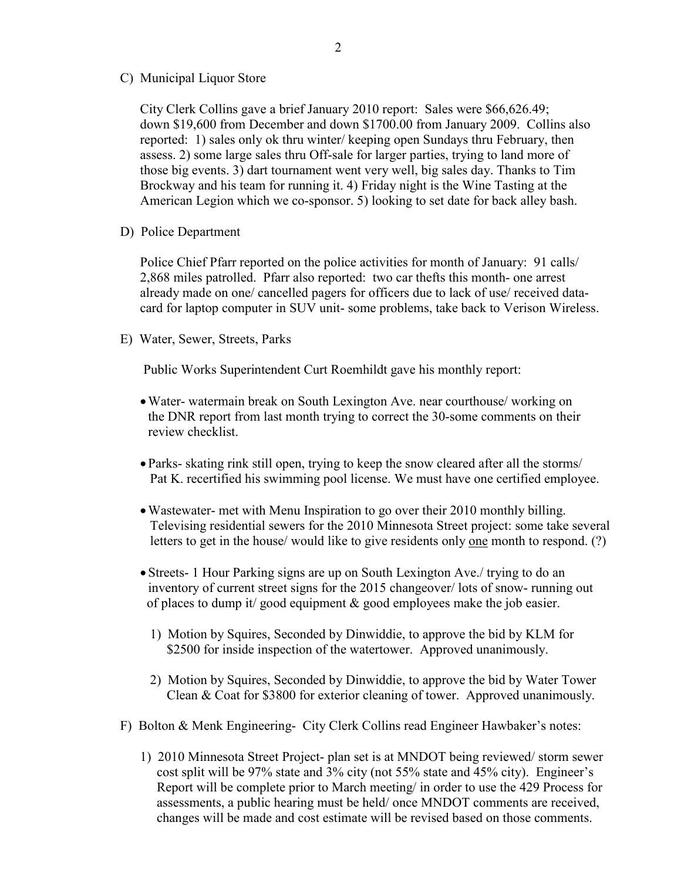C) Municipal Liquor Store

City Clerk Collins gave a brief January 2010 report: Sales were \$66,626.49; down \$19,600 from December and down \$1700.00 from January 2009. Collins also reported: 1) sales only ok thru winter/ keeping open Sundays thru February, then assess. 2) some large sales thru Off-sale for larger parties, trying to land more of those big events. 3) dart tournament went very well, big sales day. Thanks to Tim Brockway and his team for running it. 4) Friday night is the Wine Tasting at the American Legion which we co-sponsor. 5) looking to set date for back alley bash.

D) Police Department

Police Chief Pfarr reported on the police activities for month of January: 91 calls/ 2,868 miles patrolled. Pfarr also reported: two car thefts this month- one arrest already made on one/ cancelled pagers for officers due to lack of use/ received datacard for laptop computer in SUV unit- some problems, take back to Verison Wireless.

E) Water, Sewer, Streets, Parks

Public Works Superintendent Curt Roemhildt gave his monthly report:

- •Water- watermain break on South Lexington Ave. near courthouse/ working on the DNR report from last month trying to correct the 30-some comments on their review checklist.
- Parks- skating rink still open, trying to keep the snow cleared after all the storms/ Pat K. recertified his swimming pool license. We must have one certified employee.
- •Wastewater- met with Menu Inspiration to go over their 2010 monthly billing. Televising residential sewers for the 2010 Minnesota Street project: some take several letters to get in the house/ would like to give residents only one month to respond. (?)
- Streets- 1 Hour Parking signs are up on South Lexington Ave./ trying to do an inventory of current street signs for the 2015 changeover/ lots of snow- running out of places to dump it/ good equipment  $\&$  good employees make the job easier.
	- 1) Motion by Squires, Seconded by Dinwiddie, to approve the bid by KLM for \$2500 for inside inspection of the watertower. Approved unanimously.
	- 2) Motion by Squires, Seconded by Dinwiddie, to approve the bid by Water Tower Clean & Coat for \$3800 for exterior cleaning of tower. Approved unanimously.
- F) Bolton & Menk Engineering- City Clerk Collins read Engineer Hawbaker's notes:
	- 1) 2010 Minnesota Street Project- plan set is at MNDOT being reviewed/ storm sewer cost split will be 97% state and 3% city (not 55% state and 45% city). Engineer's Report will be complete prior to March meeting/ in order to use the 429 Process for assessments, a public hearing must be held/ once MNDOT comments are received, changes will be made and cost estimate will be revised based on those comments.